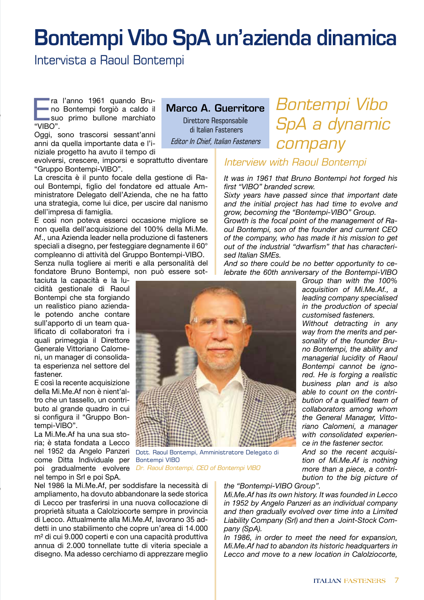# Bontempi Vibo SpA un'azienda dinamica

Intervista a Raoul Bontempi

ra l'anno 1961 quando Bru-<br>no Bontempi forgiò a caldo il<br>suo primo bullone marchiato no Bontempi forgiò a caldo il suo primo bullone marchiato "VIBO".

Oggi, sono trascorsi sessant'anni anni da quella importante data e l'iniziale progetto ha avuto il tempo di

evolversi, crescere, imporsi e soprattutto diventare "Gruppo Bontempi-VIBO".

La crescita è il punto focale della gestione di Raoul Bontempi, figlio del fondatore ed attuale Amministratore Delegato dell'Azienda, che ne ha fatto una strategia, come lui dice, per uscire dal nanismo dell'impresa di famiglia.

E così non poteva esserci occasione migliore se non quella dell'acquisizione del 100% della Mi.Me. Af., una Azienda leader nella produzione di fasteners speciali a disegno, per festeggiare degnamente il 60° compleanno di attività del Gruppo Bontempi-VIBO.

Senza nulla togliere ai meriti e alla personalità del fondatore Bruno Bontempi, non può essere sot-

taciuta la capacità e la lucidità gestionale di Raoul Bontempi che sta forgiando un realistico piano aziendale potendo anche contare sull'apporto di un team qualificato di collaboratori fra i quali primeggia il Direttore Generale Vittoriano Calomeni, un manager di consolidata esperienza nel settore del fastener.

E così la recente acquisizione della Mi.Me.Af non è nient'altro che un tassello, un contributo al grande quadro in cui si configura il "Gruppo Bontempi-VIBO".

La Mi.Me.Af ha una sua storia; è stata fondata a Lecco nel 1952 da Angelo Panzeri come Ditta Individuale per poi gradualmente evolvere *Dr. Raoul Bontempi, CEO of Bontempi VIBO*nel tempo in Srl e poi SpA.

Nel 1986 la Mi.Me.Af, per soddisfare la necessità di ampliamento, ha dovuto abbandonare la sede storica di Lecco per trasferirsi in una nuova collocazione di proprietà situata a Calolziocorte sempre in provincia di Lecco. Attualmente alla Mi.Me.Af, lavorano 35 addetti in uno stabilimento che copre un'area di 14.000 m² di cui 9.000 coperti e con una capacità produttiva annua di 2.000 tonnellate tutte di viteria speciale a disegno. Ma adesso cerchiamo di apprezzare meglio

Marco A. Guerritore

Direttore Responsabile di Italian Fasteners Editor In Chief, Italian Fasteners

# *Bontempi Vibo SpA a dynamic company*

## *Interview with Raoul Bontempi*

*It was in 1961 that Bruno Bontempi hot forged his first "VIBO" branded screw.*

*Sixty years have passed since that important date and the initial project has had time to evolve and grow, becoming the "Bontempi-VIBO" Group.*

*Growth is the focal point of the management of Raoul Bontempi, son of the founder and current CEO of the company, who has made it his mission to get out of the industrial "dwarfism" that has characterised Italian SMEs.*

*And so there could be no better opportunity to celebrate the 60th anniversary of the Bontempi-VIBO* 

> *Group than with the 100% acquisition of Mi.Me.Af., a leading company specialised in the production of special customised fasteners.*

> *Without detracting in any way from the merits and personality of the founder Bruno Bontempi, the ability and managerial lucidity of Raoul Bontempi cannot be ignored. He is forging a realistic business plan and is also able to count on the contribution of a qualified team of collaborators among whom the General Manager, Vittoriano Calomeni, a manager with consolidated experience in the fastener sector.*

> *And so the recent acquisition of Mi.Me.Af is nothing more than a piece, a contribution to the big picture of*

*the "Bontempi-VIBO Group".*

*Mi.Me.Af has its own history. It was founded in Lecco in 1952 by Angelo Panzeri as an individual company and then gradually evolved over time into a Limited Liability Company (Srl) and then a Joint-Stock Company (SpA).*

*In 1986, in order to meet the need for expansion, Mi.Me.Af had to abandon its historic headquarters in Lecco and move to a new location in Calolziocorte,* 



Dott. Raoul Bontempi, Amministratore Delegato di Bontempi VIBO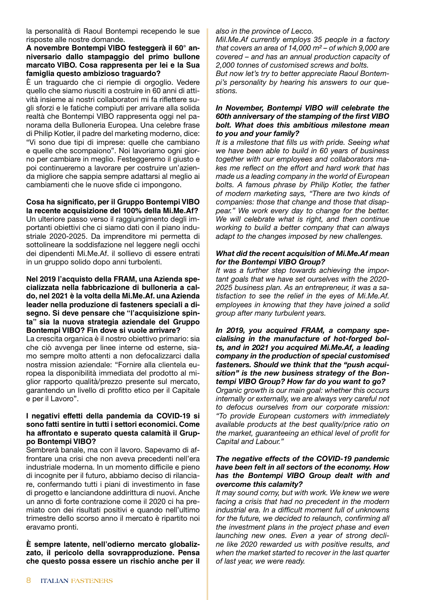la personalità di Raoul Bontempi recependo le sue risposte alle nostre domande.

#### **A novembre Bontempi VIBO festeggerà il 60° anniversario dallo stampaggio del primo bullone marcato VIBO. Cosa rappresenta per lei e la Sua famiglia questo ambizioso traguardo?**

È un traguardo che ci riempie di orgoglio. Vedere quello che siamo riusciti a costruire in 60 anni di attività insieme ai nostri collaboratori mi fa riflettere sugli sforzi e le fatiche compiuti per arrivare alla solida realtà che Bontempi VIBO rappresenta oggi nel panorama della Bulloneria Europea. Una celebre frase di Philip Kotler, il padre del marketing moderno, dice: "Vi sono due tipi di imprese: quelle che cambiano e quelle che scompaiono". Noi lavoriamo ogni giorno per cambiare in meglio. Festeggeremo il giusto e poi continueremo a lavorare per costruire un'azienda migliore che sappia sempre adattarsi al meglio ai cambiamenti che le nuove sfide ci impongono.

### **Cosa ha significato, per il Gruppo Bontempi VIBO**

**la recente acquisizione del 100% della Mi.Me.Af?** Un ulteriore passo verso il raggiungimento degli importanti obiettivi che ci siamo dati con il piano industriale 2020-2025. Da imprenditore mi permetta di sottolineare la soddisfazione nel leggere negli occhi dei dipendenti Mi.Me.Af. il sollievo di essere entrati in un gruppo solido dopo anni turbolenti.

**Nel 2019 l'acquisto della FRAM, una Azienda specializzata nella fabbricazione di bulloneria a caldo, nel 2021 è la volta della Mi.Me.Af. una Azienda leader nella produzione di fasteners speciali a disegno. Si deve pensare che "l'acquisizione spinta" sia la nuova strategia aziendale del Gruppo Bontempi VIBO? Fin dove si vuole arrivare?**

La crescita organica è il nostro obiettivo primario: sia che ciò avvenga per linee interne od esterne, siamo sempre molto attenti a non defocalizzarci dalla nostra mission aziendale: "Fornire alla clientela europea la disponibilità immediata del prodotto al miglior rapporto qualità/prezzo presente sul mercato, garantendo un livello di profitto etico per il Capitale e per il Lavoro".

#### **I negativi effetti della pandemia da COVID-19 si sono fatti sentire in tutti i settori economici. Come ha affrontato e superato questa calamità il Gruppo Bontempi VIBO?**

Sembrerà banale, ma con il lavoro. Sapevamo di affrontare una crisi che non aveva precedenti nell'era industriale moderna. In un momento difficile e pieno di incognite per il futuro, abbiamo deciso di rilanciare, confermando tutti i piani di investimento in fase di progetto e lanciandone addirittura di nuovi. Anche un anno di forte contrazione come il 2020 ci ha premiato con dei risultati positivi e quando nell'ultimo trimestre dello scorso anno il mercato è ripartito noi eravamo pronti.

**È sempre latente, nell'odierno mercato globalizzato, il pericolo della sovrapproduzione. Pensa che questo possa essere un rischio anche per il**  *also in the province of Lecco.*

*MiI.Me.Af currently employs 35 people in a factory that covers an area of 14,000 m² – of which 9,000 are covered – and has an annual production capacity of 2,000 tonnes of customised screws and bolts.*

*But now let's try to better appreciate Raoul Bontempi's personality by hearing his answers to our questions.* 

#### *In November, Bontempi VIBO will celebrate the 60th anniversary of the stamping of the first VIBO bolt. What does this ambitious milestone mean to you and your family?*

*It is a milestone that fills us with pride. Seeing what we have been able to build in 60 years of business together with our employees and collaborators makes me reflect on the effort and hard work that has made us a leading company in the world of European bolts. A famous phrase by Philip Kotler, the father of modern marketing says, "There are two kinds of companies: those that change and those that disappear." We work every day to change for the better. We will celebrate what is right, and then continue working to build a better company that can always adapt to the changes imposed by new challenges.*

#### *What did the recent acquisition of Mi.Me.Af mean for the Bontempi VIBO Group?*

*It was a further step towards achieving the important goals that we have set ourselves with the 2020- 2025 business plan. As an entrepreneur, it was a satisfaction to see the relief in the eyes of Mi.Me.Af. employees in knowing that they have joined a solid group after many turbulent years.*

*In 2019, you acquired FRAM, a company specialising in the manufacture of hot-forged bolts, and in 2021 you acquired Mi.Me.Af, a leading company in the production of special customised fasteners. Should we think that the "push acquisition" is the new business strategy of the Bontempi VIBO Group? How far do you want to go? Organic growth is our main goal: whether this occurs internally or externally, we are always very careful not to defocus ourselves from our corporate mission: "To provide European customers with immediately available products at the best quality/price ratio on the market, guaranteeing an ethical level of profit for Capital and Labour."*

#### *The negative effects of the COVID-19 pandemic have been felt in all sectors of the economy. How has the Bontempi VIBO Group dealt with and overcome this calamity?*

*It may sound corny, but with work. We knew we were facing a crisis that had no precedent in the modern industrial era. In a difficult moment full of unknowns for the future, we decided to relaunch, confirming all the investment plans in the project phase and even launching new ones. Even a year of strong decline like 2020 rewarded us with positive results, and when the market started to recover in the last quarter of last year, we were ready.*